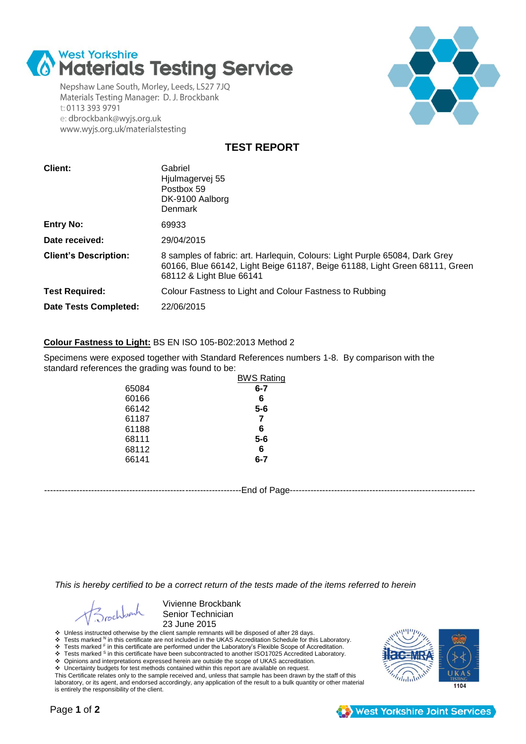

Nepshaw Lane South, Morley, Leeds, LS27 7JQ Materials Testing Manager: D. J. Brockbank t: 0113 393 9791 e: dbrockbank@wyjs.org.uk www.wyjs.org.uk/materialstesting



**TEST REPORT**

| <b>Client:</b>               | Gabriel<br>Hjulmagervej 55<br>Postbox 59<br>DK-9100 Aalborg<br>Denmark                                                                                                                 |
|------------------------------|----------------------------------------------------------------------------------------------------------------------------------------------------------------------------------------|
| <b>Entry No:</b>             | 69933                                                                                                                                                                                  |
| Date received:               | 29/04/2015                                                                                                                                                                             |
| <b>Client's Description:</b> | 8 samples of fabric: art. Harlequin, Colours: Light Purple 65084, Dark Grey<br>60166, Blue 66142, Light Beige 61187, Beige 61188, Light Green 68111, Green<br>68112 & Light Blue 66141 |
| <b>Test Required:</b>        | Colour Fastness to Light and Colour Fastness to Rubbing                                                                                                                                |
| <b>Date Tests Completed:</b> | 22/06/2015                                                                                                                                                                             |

## **Colour Fastness to Light:** BS EN ISO 105-B02:2013 Method 2

Specimens were exposed together with Standard References numbers 1-8. By comparison with the standard references the grading was found to be:

|       | <b>BWS Rating</b> |
|-------|-------------------|
| 65084 | $6 - 7$           |
| 60166 | 6                 |
| 66142 | $5-6$             |
| 61187 | 7                 |
| 61188 | 6                 |
| 68111 | $5-6$             |
| 68112 | 6                 |
| 66141 | 6-7               |
|       |                   |

-------------------------------------------------------------------End of Page---------------------------------------------------------------

*This is hereby certified to be a correct return of the tests made of the items referred to herein*

Vivienne Brockbank Senior Technician 23 June 2015

Unless instructed otherwise by the client sample remnants will be disposed of after 28 days.

\* Tests marked <sup>N</sup> in this certificate are not included in the UKAS Accreditation Schedule for this Laboratory.<br>\* Tests marked <sup>F</sup> in this certificate are performed under the Laboratory's Flexible Scope of Accreditation.<br>

Opinions and interpretations expressed herein are outside the scope of UKAS accreditation.

 Uncertainty budgets for test methods contained within this report are available on request. This Certificate relates only to the sample received and, unless that sample has been drawn by the staff of this laboratory, or its agent, and endorsed accordingly, any application of the result to a bulk quantity or other material is entirely the responsibility of the client.